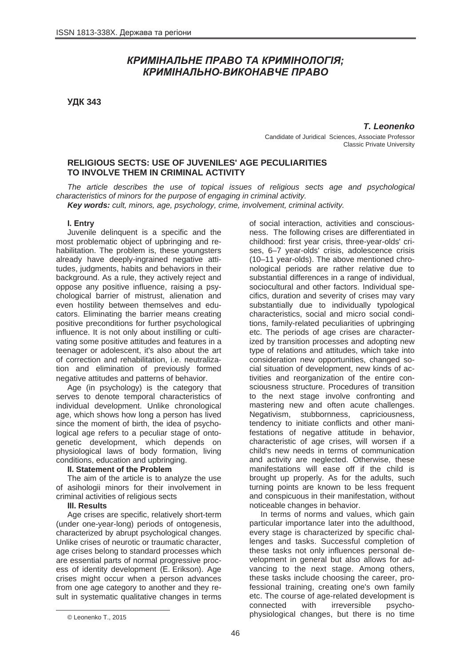# *ɄɊɂɆȱɇȺɅɖɇȿ ɉɊȺȼɈ ɌȺ ɄɊɂɆȱɇɈɅɈȽȱə; ɄɊɂɆȱɇȺɅɖɇɈ-ȼɂɄɈɇȺȼɑȿ ɉɊȺȼɈ*

**ɍȾɄ 343**

*T. Leonenko*

Candidate of Juridical Sciences, Associate Professor Classic Private University

# **RELIGIOUS SECTS: USE OF JUVENILES' AGE PECULIARITIES TO INVOLVE THEM IN CRIMINAL ACTIVITY**

*The article describes the use of topical issues of religious sects age and psychological characteristics of minors for the purpose of engaging in criminal activity.*

*Key words: cult, minors, age, psychology, crime, involvement, criminal activity.*

## **ȱ. ȿntry**

Juvenile delinquent is a specific and the most problematic object of upbringing and rehabilitation. The problem is, these youngsters already have deeply-ingrained negative attitudes, judgments, habits and behaviors in their background. As a rule, they actively reject and oppose any positive influence, raising a psychological barrier of mistrust, alienation and even hostility between themselves and educators. Eliminating the barrier means creating positive preconditions for further psychological influence. It is not only about instilling or cultivating some positive attitudes and features in a teenager or adolescent, it's also about the art of correction and rehabilitation, i.e. neutralization and elimination of previously formed negative attitudes and patterns of behavior.

Age (in psychology) is the category that serves to denote temporal characteristics of individual development. Unlike chronological age, which shows how long a person has lived since the moment of birth, the idea of psychological age refers to a peculiar stage of ontogenetic development, which depends on physiological laws of body formation, living conditions, education and upbringing.

### **II. Statement of the Problem**

The aim of the article is to analyze the use of asihologii minors for their involvement in criminal activities of religious sects

## **ȱȱȱ. Results**

Age crises are specific, relatively short-term (under one-year-long) periods of ontogenesis, characterized by abrupt psychological changes. Unlike crises of neurotic or traumatic character, age crises belong to standard processes which are essential parts of normal progressive process of identity development (E. Erikson). Age crises might occur when a person advances from one age category to another and they result in systematic qualitative changes in terms of social interaction, activities and consciousness. The following crises are differentiated in childhood: first year crisis, three-year-olds' crises, 6–7 year-olds' crisis, adolescence crisis (10–11 year-olds). The above mentioned chronological periods are rather relative due to substantial differences in a range of individual, sociocultural and other factors. Individual specifics, duration and severity of crises may vary substantially due to individually typological characteristics, social and micro social conditions, family-related peculiarities of upbringing etc. The periods of age crises are characterized by transition processes and adopting new type of relations and attitudes, which take into consideration new opportunities, changed social situation of development, new kinds of activities and reorganization of the entire consciousness structure. Procedures of transition to the next stage involve confronting and mastering new and often acute challenges. Negativism, stubbornness, capriciousness, tendency to initiate conflicts and other manifestations of negative attitude in behavior, characteristic of age crises, will worsen if a child's new needs in terms of communication and activity are neglected. Otherwise, these manifestations will ease off if the child is brought up properly. As for the adults, such turning points are known to be less frequent and conspicuous in their manifestation, without noticeable changes in behavior.

In terms of norms and values, which gain particular importance later into the adulthood, every stage is characterized by specific challenges and tasks. Successful completion of these tasks not only influences personal development in general but also allows for advancing to the next stage. Among others, these tasks include choosing the career, professional training, creating one's own family etc. The course of age-related development is connected with irreversible psychophysiological changes, but there is no time

 <sup>©</sup> Leonenko T., 2015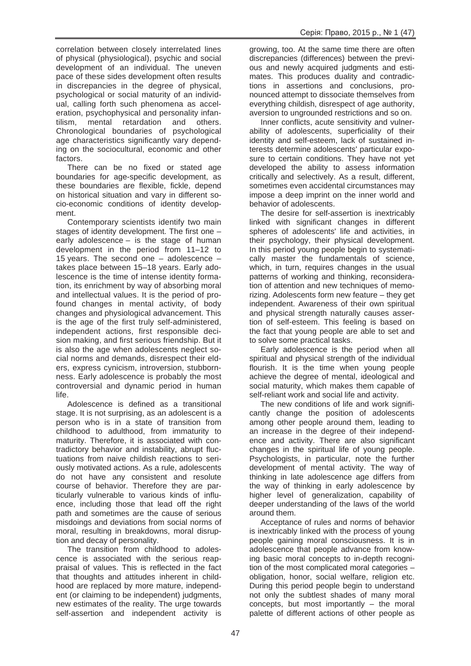correlation between closely interrelated lines of physical (physiological), psychic and social development of an individual. The uneven pace of these sides development often results in discrepancies in the degree of physical, psychological or social maturity of an individual, calling forth such phenomena as acceleration, psychophysical and personality infantilism, mental retardation and others. Chronological boundaries of psychological age characteristics significantly vary depending on the sociocultural, economic and other factors.

There can be no fixed or stated age boundaries for age-specific development, as these boundaries are flexible, fickle, depend on historical situation and vary in different socio-economic conditions of identity development.

Contemporary scientists identify two main stages of identity development. The first one – early adolescence – is the stage of human development in the period from 11–12 to 15 years. The second one – adolescence – takes place between 15–18 years. Early adolescence is the time of intense identity formation, its enrichment by way of absorbing moral and intellectual values. It is the period of profound changes in mental activity, of body changes and physiological advancement. This is the age of the first truly self-administered, independent actions, first responsible decision making, and first serious friendship. But it is also the age when adolescents neglect social norms and demands, disrespect their elders, express cynicism, introversion, stubbornness. Early adolescence is probably the most controversial and dynamic period in human life.

Adolescence is defined as a transitional stage. It is not surprising, as an adolescent is a person who is in a state of transition from childhood to adulthood, from immaturity to maturity. Therefore, it is associated with contradictory behavior and instability, abrupt fluctuations from naive childish reactions to seriously motivated actions. As a rule, adolescents do not have any consistent and resolute course of behavior. Therefore they are particularly vulnerable to various kinds of influence, including those that lead off the right path and sometimes are the cause of serious misdoings and deviations from social norms of moral, resulting in breakdowns, moral disruption and decay of personality.

The transition from childhood to adolescence is associated with the serious reappraisal of values. This is reflected in the fact that thoughts and attitudes inherent in childhood are replaced by more mature, independent (or claiming to be independent) judgments, new estimates of the reality. The urge towards self-assertion and independent activity is

growing, too. At the same time there are often discrepancies (differences) between the previous and newly acquired judgments and estimates. This produces duality and contradictions in assertions and conclusions, pronounced attempt to dissociate themselves from everything childish, disrespect of age authority, aversion to ungrounded restrictions and so on.

Inner conflicts, acute sensitivity and vulnerability of adolescents, superficiality of their identity and self-esteem, lack of sustained interests determine adolescents' particular exposure to certain conditions. They have not yet developed the ability to assess information critically and selectively. As a result, different, sometimes even accidental circumstances may impose a deep imprint on the inner world and behavior of adolescents.

The desire for self-assertion is inextricably linked with significant changes in different spheres of adolescents' life and activities, in their psychology, their physical development. In this period young people begin to systematically master the fundamentals of science, which, in turn, requires changes in the usual patterns of working and thinking, reconsideration of attention and new techniques of memorizing. Adolescents form new feature – they get independent. Awareness of their own spiritual and physical strength naturally causes assertion of self-esteem. This feeling is based on the fact that young people are able to set and to solve some practical tasks.

Early adolescence is the period when all spiritual and physical strength of the individual flourish. It is the time when young people achieve the degree of mental, ideological and social maturity, which makes them capable of self-reliant work and social life and activity.

The new conditions of life and work significantly change the position of adolescents among other people around them, leading to an increase in the degree of their independence and activity. There are also significant changes in the spiritual life of young people. Psychologists, in particular, note the further development of mental activity. The way of thinking in late adolescence age differs from the way of thinking in early adolescence by higher level of generalization, capability of deeper understanding of the laws of the world around them.

Acceptance of rules and norms of behavior is inextricably linked with the process of young people gaining moral consciousness. It is in adolescence that people advance from knowing basic moral concepts to in-depth recognition of the most complicated moral categories – obligation, honor, social welfare, religion etc. During this period people begin to understand not only the subtlest shades of many moral concepts, but most importantly – the moral palette of different actions of other people as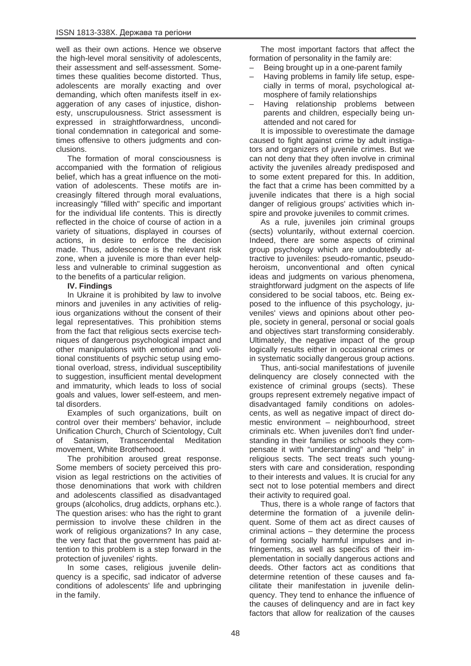well as their own actions. Hence we observe the high-level moral sensitivity of adolescents, their assessment and self-assessment. Sometimes these qualities become distorted. Thus, adolescents are morally exacting and over demanding, which often manifests itself in exaggeration of any cases of injustice, dishonesty, unscrupulousness. Strict assessment is expressed in straightforwardness, unconditional condemnation in categorical and sometimes offensive to others judgments and conclusions.

The formation of moral consciousness is accompanied with the formation of religious belief, which has a great influence on the motivation of adolescents. These motifs are increasingly filtered through moral evaluations, increasingly "filled with" specific and important for the individual life contents. This is directly reflected in the choice of course of action in a variety of situations, displayed in courses of actions, in desire to enforce the decision made. Thus, adolescence is the relevant risk zone, when a juvenile is more than ever helpless and vulnerable to criminal suggestion as to the benefits of a particular religion.

## **IV. Findings**

In Ukraine it is prohibited by law to involve minors and juveniles in any activities of religious organizations without the consent of their legal representatives. This prohibition stems from the fact that religious sects exercise techniques of dangerous psychological impact and other manipulations with emotional and volitional constituents of psychic setup using emotional overload, stress, individual susceptibility to suggestion, insufficient mental development and immaturity, which leads to loss of social goals and values, lower self-esteem, and mental disorders.

Examples of such organizations, built on control over their members' behavior, include Unification Church, Church of Scientology, Cult of Satanism, Transcendental Meditation movement, White Brotherhood.

The prohibition aroused great response. Some members of society perceived this provision as legal restrictions on the activities of those denominations that work with children and adolescents classified as disadvantaged groups (alcoholics, drug addicts, orphans etc.). The question arises: who has the right to grant permission to involve these children in the work of religious organizations? In any case, the very fact that the government has paid attention to this problem is a step forward in the protection of juveniles' rights.

In some cases, religious juvenile delinquency is a specific, sad indicator of adverse conditions of adolescents' life and upbringing in the family.

The most important factors that affect the formation of personality in the family are:

- Being brought up in a one-parent family
- Having problems in family life setup, especially in terms of moral, psychological atmosphere of family relationships
- Having relationship problems between parents and children, especially being unattended and not cared for

It is impossible to overestimate the damage caused to fight against crime by adult instigators and organizers of juvenile crimes. But we can not deny that they often involve in criminal activity the juveniles already predisposed and to some extent prepared for this. In addition, the fact that a crime has been committed by a juvenile indicates that there is a high social danger of religious groups' activities which inspire and provoke juveniles to commit crimes.

As a rule, juveniles join criminal groups (sects) voluntarily, without external coercion. Indeed, there are some aspects of criminal group psychology which are undoubtedly attractive to juveniles: pseudo-romantic, pseudoheroism, unconventional and often cynical ideas and judgments on various phenomena, straightforward judgment on the aspects of life considered to be social taboos, etc. Being exposed to the influence of this psychology, juveniles' views and opinions about other people, society in general, personal or social goals and objectives start transforming considerably. Ultimately, the negative impact of the group logically results either in occasional crimes or in systematic socially dangerous group actions.

Thus, anti-social manifestations of juvenile delinquency are closely connected with the existence of criminal groups (sects). These groups represent extremely negative impact of disadvantaged family conditions on adolescents, as well as negative impact of direct domestic environment – neighbourhood, street criminals etc. When juveniles don't find understanding in their families or schools they compensate it with "understanding" and "help" in religious sects. The sect treats such youngsters with care and consideration, responding to their interests and values. It is crucial for any sect not to lose potential members and direct their activity to required goal.

Thus, there is a whole range of factors that determine the formation of a juvenile delinquent. Some of them act as direct causes of criminal actions – they determine the process of forming socially harmful impulses and infringements, as well as specifics of their implementation in socially dangerous actions and deeds. Other factors act as conditions that determine retention of these causes and facilitate their manifestation in juvenile delinquency. They tend to enhance the influence of the causes of delinquency and are in fact key factors that allow for realization of the causes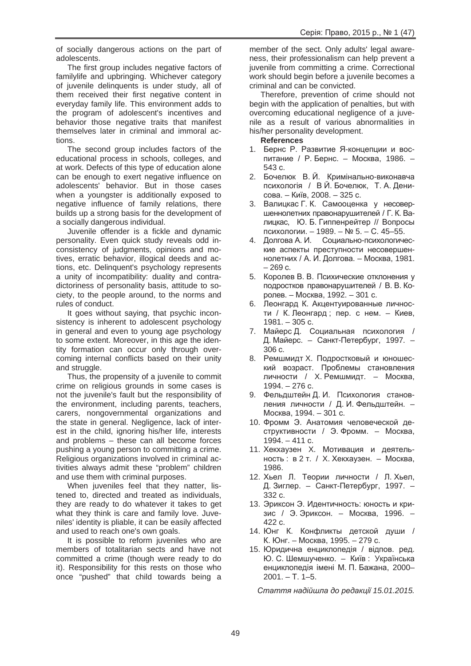of socially dangerous actions on the part of adolescents.

The first group includes negative factors of familylife and upbringing. Whichever category of juvenile delinquents is under study, all of them received their first negative content in everyday family life. This environment adds to the program of adolescent's incentives and behavior those negative traits that manifest themselves later in criminal and immoral actions.

The second group includes factors of the educational process in schools, colleges, and at work. Defects of this type of education alone can be enough to exert negative influence on adolescents' behavior. But in those cases when a youngster is additionally exposed to negative influence of family relations, there builds up a strong basis for the development of a socially dangerous individual.

Juvenile offender is a fickle and dynamic personality. Even quick study reveals odd inconsistency of judgments, opinions and motives, erratic behavior, illogical deeds and actions, etc. Delinquent's psychology represents a unity of incompatibility: duality and contradictoriness of personality basis, attitude to society, to the people around, to the norms and rules of conduct.

It goes without saying, that psychic inconsistency is inherent to adolescent psychology in general and even to young age psychology to some extent. Moreover, in this age the identity formation can occur only through overcoming internal conflicts based on their unity and struggle.

Thus, the propensity of a juvenile to commit crime on religious grounds in some cases is not the juvenile's fault but the responsibility of the environment, including parents, teachers, carers, nongovernmental organizations and the state in general. Negligence, lack of interest in the child, ignoring his/her life, interests and problems – these can all become forces pushing a young person to committing a crime. Religious organizations involved in criminal activities always admit these "problem" children and use them with criminal purposes.

When juveniles feel that they natter, listened to, directed and treated as individuals, they are ready to do whatever it takes to get what they think is care and family love. Juveniles' identity is pliable, it can be easily affected and used to reach one's own goals.

It is possible to reform juveniles who are members of totalitarian sects and have not committed a crime (though were ready to do it). Responsibility for this rests on those who once "pushed" that child towards being a

member of the sect. Only adults' legal awareness, their professionalism can help prevent a juvenile from committing a crime. Correctional work should begin before a juvenile becomes a criminal and can be convicted.

Therefore, prevention of crime should not begin with the application of penalties, but with overcoming educational negligence of a juvenile as a result of various abnormalities in his/her personality development.

## **References**

- 1. Бернс Р. Развитие Я-концепции и воспитание / Р. Бернс. – Москва, 1986. – 543 c.
- 2. Бочелюк В. Й. Кримінально-виконавча психологія / В Й. Бочелюк, Т. А. Денисова. – Київ, 2008. – 325 с.
- 3. Валицкас Г. К. Самооценка у несовершеннолетних правонарушителей / Г. К. Валицкас, Ю. Б. Гиппенрейтер // Вопросы психологии. – 1989. – № 5. – С. 45–55.
- 4. Долгова А. И. Социально-психологические аспекты преступности несовершеннолетних / А. И. Долгова. – Москва, 1981.  $-269$  c.
- 5. Королев В. В. Психические отклонения у подростков правонарушителей / В. В. Королев. – Москва, 1992. – 301 с.
- 6. Леонгард К. Акцентуированные личности / К. Леонгард; пер. с нем. – Киев,  $1981. - 305$  c.
- 7. Майерс Д. Социальная психология / Д. Майерс. – Санкт-Петербург, 1997. – 306 c.
- 8. Ремшмидт Х. Подростковый и юношеский возраст. Проблемы становления личности / Х. Ремшмидт. – Москва,  $1994. - 276$  c.
- 9. Фельдштейн Д. И. Психология становления личности / Д. И. Фельдштейн. – Москва, 1994. – 301 с.
- 10. Фромм Э. Анатомия человеческой де- $CTDYKTUBHOCTU / 3.$  Фромм. – Москва,  $1994. - 411$  c.
- 11. Хекхаузен Х. Мотивация и деятельность : в 2 т. / Х. Хекхаузен. – Москва, 1986.
- 12. Хьел Л. Теории личности / Л. Хьел, Д. Зиглер. – Санкт-Петербург, 1997. –  $332 c.$
- 13. Эриксон Э. Идентичность: юность и кризис / Э. Эриксон. – Москва, 1996. – 422 c.
- 14. Юнг К. Конфликты детской души / К. Юнг. – Москва, 1995. – 279 с.
- 15. Юридична енциклопедія / відпов. ред. Ю. С. Шемшученко. – Київ: Українська енциклопедія імені М. П. Бажана, 2000–  $2001. - T. 1 - 5.$

*ɋɬɚɬɬɹ ɧɚɞɿɣɲɥɚ ɞɨ ɪɟɞɚɤɰɿʀ 15.01.2015.*